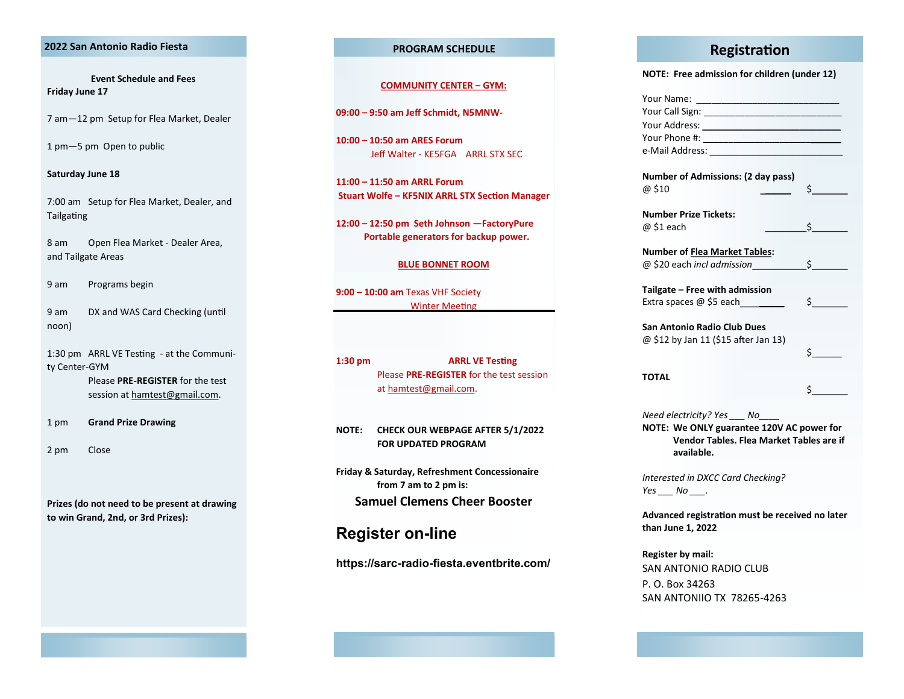# **2022 San Antonio Radio Fiesta PROGRAM SCHEDULE Registration**

**Event Schedule and Fees Friday June 17**

7 am —12 pm Setup for Flea Market, Dealer

1 pm —5 pm Open to public

#### **Saturday June 18**

7:00 am Setup for Flea Market, Dealer, and Tailgating

8 am Open Flea Market - Dealer Area, and Tailgate Areas

9 am Programs begin

9 am DX and WAS Card Checking (until noon)

1:30 pm ARRL VE Testing - at the Community Center-GYM

> Please **PRE -REGISTER** for the test session at [hamtest@gmail.com.](mailto:hamtest@gmail.com)

1 pm **Grand Prize Drawing** 

2 pm Close

**Prizes (do not need to be present at drawing to win Grand, 2nd, or 3rd Prizes):** 

#### **COMMUNITY CENTER – GYM:**

**09:00 – 9:50 am Jeff Schmidt, N5MNW -**

**10:00 – 10:50 am ARES Forum**  Jeff Walter - KE5FGA ARRL STX SEC

**11:00 – 11:50 am ARRL Forum Stuart Wolfe – KF5NIX ARRL STX Section Manager**

**12:00 – 12:50 pm Seth Johnson —FactoryPure Portable generators for backup power.** 

### **BLUE BONNET ROOM**

**9:00 – 10:00 am** Texas VHF Society Winter Meeting

**1:30 pm ARRL VE Testing**  Please **PRE -REGISTER** for the test session at [hamtest@gmail.com](mailto:hamtest@gmail.com).

**NOTE: CHECK OUR WEBPAGE AFTER 5/1/2022 FOR UPDATED PROGRAM** 

**Friday & Saturday, Refreshment Concessionaire from 7 am to 2 pm is: Samuel Clemens Cheer Booster**

## **Register on -line**

**https://sarc -radio -fiesta.eventbrite.com/**

**NOTE: Free admission for children (under 12)**

Your Name: \_\_\_\_\_\_\_\_\_\_\_\_\_\_\_\_\_\_\_\_\_\_\_\_\_\_\_\_ Your Call Sign: Your Address: \_\_\_\_\_\_\_\_\_\_\_\_\_\_\_\_\_\_\_\_\_\_\_\_\_\_\_ Your Phone #: \_\_\_\_\_\_\_\_\_\_\_\_\_\_\_\_\_\_\_\_\_\_\_\_\_\_\_ e-Mail Address: **with a set of the set of the set of the set of the set of the set of the set of the set of the set of the set of the set of the set of the set of the set of the set of the set of the set of the set of the Number of Admissions: (2 day pass)**  $@510$ \$ **Number Prize Tickets:** @ \$1 each \$ **Number of Flea Market Tables :** @ \$20 each *incl admission* \$ **Tailgate – Free with admission** Extra spaces  $\omega$  \$5 each \$ **San Antonio Radio Club Dues** @ \$12 by Jan 11 (\$15 after Jan 13)  $\mathsf{s}\_\_\_\_\_\$ **TOTAL**  \$ *Need electricity? Yes \_\_\_ No\_\_\_\_* **NOTE: We ONLY guarantee 120V AC power for Vendor Tables. Flea Market Tables are if available.** *Interested in DXCC Card Checking? Yes \_\_\_ No \_\_\_.* **Advanced registration must be received no later than June 1, 2022**

**Register by mail:**  SAN ANTONIO RADIO CLUB P. O. Box 34263 SAN ANTONIIO TX 78265 -4263